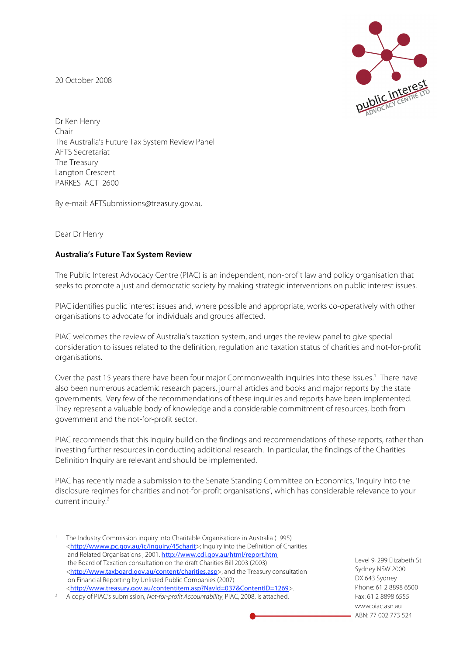20 October 2008



Dr Ken Henry Chair The Australia's Future Tax System Review Panel AFTS Secretariat The Treasury Langton Crescent PARKES ACT 2600

By e-mail: AFTSubmissions@treasury.gov.au

Dear Dr Henry

## **Australia's Future Tax System Review**

The Public Interest Advocacy Centre (PIAC) is an independent, non-profit law and policy organisation that seeks to promote a just and democratic society by making strategic interventions on public interest issues.

PIAC identifies public interest issues and, where possible and appropriate, works co-operatively with other organisations to advocate for individuals and groups affected.

PIAC welcomes the review of Australia's taxation system, and urges the review panel to give special consideration to issues related to the definition, regulation and taxation status of charities and not-for-profit organisations.

Over the past 15 years there have been four major Commonwealth inquiries into these issues.<sup>1</sup> There have also been numerous academic research papers, journal articles and books and major reports by the state governments. Very few of the recommendations of these inquiries and reports have been implemented. They represent a valuable body of knowledge and a considerable commitment of resources, both from government and the not-for-profit sector.

PIAC recommends that this Inquiry build on the findings and recommendations of these reports, rather than investing further resources in conducting additional research. In particular, the findings of the Charities Definition Inquiry are relevant and should be implemented.

PIAC has recently made a submission to the Senate Standing Committee on Economics, 'Inquiry into the disclosure regimes for charities and not-for-profit organisations', which has considerable relevance to your current inquiry. 2

Level 9, 299 Elizabeth St Sydney NSW 2000 DX 643 Sydney Phone: 61 2 8898 6500 Fax: 61 2 8898 6555 www.piac.asn.au ABN: 77 002 773 524

 <sup>1</sup> The Industry Commission inquiry into Charitable Organisations in Australia (1995) <http://wwww.pc.gov.au/ic/inquiry/45charit>; Inquiry into the Definition of Charities and Related Organisations , 2001. http://www.cdi.gov.au/html/report.htm; the Board of Taxation consultation on the draft Charities Bill 2003 (2003) <http://www.taxboard.gov.au/content/charities.asp>; and the Treasury consultation on Financial Reporting by Unlisted Public Companies (2007) <http://www.treasury.gov.au/contentitem.asp?Navld=037&ContentID=1269>.

<sup>2</sup> A copy of PIAC's submission, Not-for-profit Accountability, PIAC, 2008, is attached.